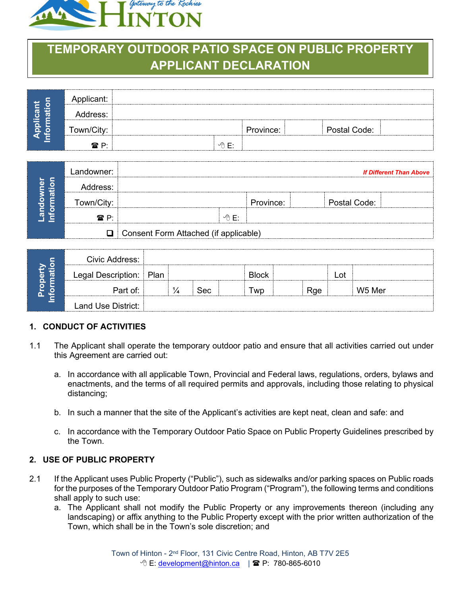

# **TEMPORARY OUTDOOR PATIO SPACE ON PUBLIC PROPERTY APPLICANT DECLARATION**

|   | Applicant:<br>                 |       |           |              |  |
|---|--------------------------------|-------|-----------|--------------|--|
| o | ress:<br>                      |       |           |              |  |
|   | Town/City:<br><del>.</del><br> |       | Province: | Postal Code: |  |
|   | <b>雷 P:</b>                    | ∽A F• |           |              |  |
|   |                                |       |           |              |  |

|                               | Landowner:              |                                       |         |         |              | <b>If Different Than Above</b> |  |
|-------------------------------|-------------------------|---------------------------------------|---------|---------|--------------|--------------------------------|--|
| $\overline{\phantom{a}}$<br>ಹ | ress:                   |                                       |         |         |              |                                |  |
|                               | -------------------<br> |                                       |         | ovince: | Postal Code: |                                |  |
|                               | ⁄  P·<br>------         |                                       | ℳ<br>F۰ |         |              |                                |  |
|                               | ו ר                     | Consent Form Attached (if applicable) |         |         |              |                                |  |

| O<br>÷<br>-<br>ā<br>$\mathbf{\Omega}$<br>൨ | Civic Address:     |      |     |              |     |     |        |  |
|--------------------------------------------|--------------------|------|-----|--------------|-----|-----|--------|--|
|                                            | Legal Description: | Plan |     | <b>Block</b> |     | .ot |        |  |
|                                            | Part of∵           |      | Sec | <b>WD</b>    | Rae |     | W5 Mer |  |
|                                            | Land Use District: |      |     |              |     |     |        |  |

## **1. CONDUCT OF ACTIVITIES**

- 1.1 The Applicant shall operate the temporary outdoor patio and ensure that all activities carried out under this Agreement are carried out:
	- a. In accordance with all applicable Town, Provincial and Federal laws, regulations, orders, bylaws and enactments, and the terms of all required permits and approvals, including those relating to physical distancing;
	- b. In such a manner that the site of the Applicant's activities are kept neat, clean and safe: and
	- c. In accordance with the Temporary Outdoor Patio Space on Public Property Guidelines prescribed by the Town.

#### **2. USE OF PUBLIC PROPERTY**

- 2.1 If the Applicant uses Public Property ("Public"), such as sidewalks and/or parking spaces on Public roads for the purposes of the Temporary Outdoor Patio Program ("Program"), the following terms and conditions shall apply to such use:
	- a. The Applicant shall not modify the Public Property or any improvements thereon (including any landscaping) or affix anything to the Public Property except with the prior written authorization of the Town, which shall be in the Town's sole discretion; and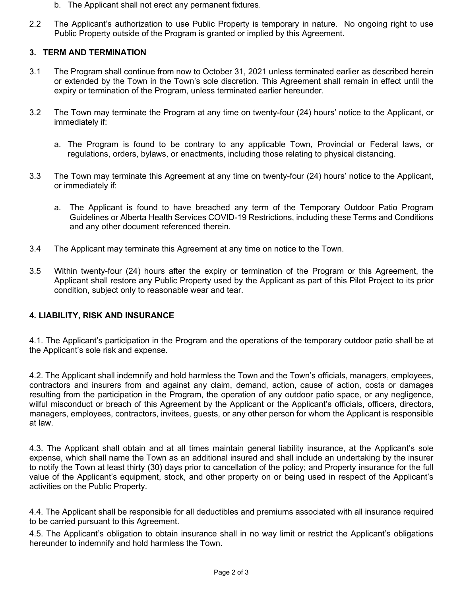- b. The Applicant shall not erect any permanent fixtures.
- 2.2 The Applicant's authorization to use Public Property is temporary in nature. No ongoing right to use Public Property outside of the Program is granted or implied by this Agreement.

#### **3. TERM AND TERMINATION**

- 3.1 The Program shall continue from now to October 31, 2021 unless terminated earlier as described herein or extended by the Town in the Town's sole discretion. This Agreement shall remain in effect until the expiry or termination of the Program, unless terminated earlier hereunder.
- 3.2 The Town may terminate the Program at any time on twenty-four (24) hours' notice to the Applicant, or immediately if:
	- a. The Program is found to be contrary to any applicable Town, Provincial or Federal laws, or regulations, orders, bylaws, or enactments, including those relating to physical distancing.
- 3.3 The Town may terminate this Agreement at any time on twenty-four (24) hours' notice to the Applicant, or immediately if:
	- a. The Applicant is found to have breached any term of the Temporary Outdoor Patio Program Guidelines or Alberta Health Services COVID-19 Restrictions, including these Terms and Conditions and any other document referenced therein.
- 3.4 The Applicant may terminate this Agreement at any time on notice to the Town.
- 3.5 Within twenty-four (24) hours after the expiry or termination of the Program or this Agreement, the Applicant shall restore any Public Property used by the Applicant as part of this Pilot Project to its prior condition, subject only to reasonable wear and tear.

## **4. LIABILITY, RISK AND INSURANCE**

4.1. The Applicant's participation in the Program and the operations of the temporary outdoor patio shall be at the Applicant's sole risk and expense.

4.2. The Applicant shall indemnify and hold harmless the Town and the Town's officials, managers, employees, contractors and insurers from and against any claim, demand, action, cause of action, costs or damages resulting from the participation in the Program, the operation of any outdoor patio space, or any negligence, wilful misconduct or breach of this Agreement by the Applicant or the Applicant's officials, officers, directors, managers, employees, contractors, invitees, guests, or any other person for whom the Applicant is responsible at law.

4.3. The Applicant shall obtain and at all times maintain general liability insurance, at the Applicant's sole expense, which shall name the Town as an additional insured and shall include an undertaking by the insurer to notify the Town at least thirty (30) days prior to cancellation of the policy; and Property insurance for the full value of the Applicant's equipment, stock, and other property on or being used in respect of the Applicant's activities on the Public Property.

4.4. The Applicant shall be responsible for all deductibles and premiums associated with all insurance required to be carried pursuant to this Agreement.

4.5. The Applicant's obligation to obtain insurance shall in no way limit or restrict the Applicant's obligations hereunder to indemnify and hold harmless the Town.